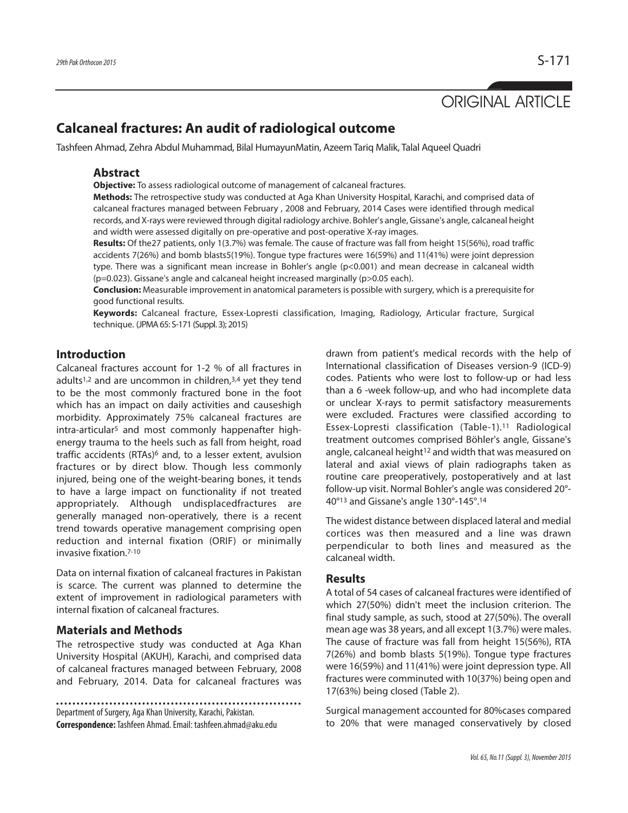# ORIGINAL ARTICLE

## **Calcaneal fractures: An audit of radiological outcome**

Tashfeen Ahmad, Zehra Abdul Muhammad, Bilal HumayunMatin, Azeem Tariq Malik, Talal Aqueel Quadri

#### **Abstract**

**Objective:** To assess radiological outcome of management of calcaneal fractures.

**Methods:** The retrospective study was conducted at Aga Khan University Hospital, Karachi, and comprised data of calcaneal fractures managed between February , 2008 and February, 2014 Cases were identified through medical records, and X-rays were reviewed through digital radiology archive. Bohler's angle, Gissane's angle, calcaneal height and width were assessed digitally on pre-operative and post-operative X-ray images.

**Results:** Of the27 patients, only 1(3.7%) was female. The cause of fracture was fall from height 15(56%), road traffic accidents 7(26%) and bomb blasts5(19%). Tongue type fractures were 16(59%) and 11(41%) were joint depression type. There was a significant mean increase in Bohler's angle (p<0.001) and mean decrease in calcaneal width (p=0.023). Gissane's angle and calcaneal height increased marginally (p>0.05 each).

**Conclusion:** Measurable improvement in anatomical parameters is possible with surgery, which is a prerequisite for good functional results.

**Keywords:** Calcaneal fracture, Essex-Lopresti classification, Imaging, Radiology, Articular fracture, Surgical technique. (JPMA65: S-171 (Suppl. 3); 2015)

#### **Introduction**

Calcaneal fractures account for 1-2 % of all fractures in adults<sup>1,2</sup> and are uncommon in children,<sup>3,4</sup> yet they tend to be the most commonly fractured bone in the foot which has an impact on daily activities and causeshigh morbidity. Approximately 75% calcaneal fractures are intra-articular<sup>5</sup> and most commonly happenafter highenergy trauma to the heels such as fall from height, road traffic accidents (RTAs)<sup>6</sup> and, to a lesser extent, avulsion fractures or by direct blow. Though less commonly injured, being one of the weight-bearing bones, it tends to have a large impact on functionality if not treated appropriately. Although undisplacedfractures are generally managed non-operatively, there is a recent trend towards operative management comprising open reduction and internal fixation (ORIF) or minimally invasive fixation. 7-10

Data on internal fixation of calcaneal fractures in Pakistan is scarce. The current was planned to determine the extent of improvement in radiological parameters with internal fixation of calcaneal fractures.

#### **Materials and Methods**

The retrospective study was conducted at Aga Khan University Hospital (AKUH), Karachi, and comprised data of calcaneal fractures managed between February, 2008 and February, 2014. Data for calcaneal fractures was

Department of Surgery, Aga Khan University, Karachi, Pakistan. **Correspondence:**Tashfeen Ahmad.Email: tashfeen.ahmad@aku.edu

drawn from patient's medical records with the help of International classification of Diseases version-9 (ICD-9) codes. Patients who were lost to follow-up or had less than a 6 -week follow-up, and who had incomplete data or unclear X-rays to permit satisfactory measurements were excluded. Fractures were classified according to Essex-Lopresti classification (Table-1). <sup>11</sup> Radiological treatment outcomes comprised Böhler's angle, Gissane's angle, calcaneal height<sup>12</sup> and width that was measured on lateral and axial views of plain radiographs taken as routine care preoperatively, postoperatively and at last follow-up visit. Normal Bohler's angle was considered 20°- 40°13 and Gissane's angle 130°-145°. 14

The widest distance between displaced lateral and medial cortices was then measured and a line was drawn perpendicular to both lines and measured as the calcaneal width.

#### **Results**

A total of 54 cases of calcaneal fractures were identified of which 27(50%) didn't meet the inclusion criterion. The final study sample, as such, stood at 27(50%). The overall mean age was 38 years, and all except 1(3.7%) were males. The cause of fracture was fall from height 15(56%), RTA 7(26%) and bomb blasts 5(19%). Tongue type fractures were 16(59%) and 11(41%) were joint depression type. All fractures were comminuted with 10(37%) being open and 17(63%) being closed (Table 2).

Surgical management accounted for 80%cases compared to 20% that were managed conservatively by closed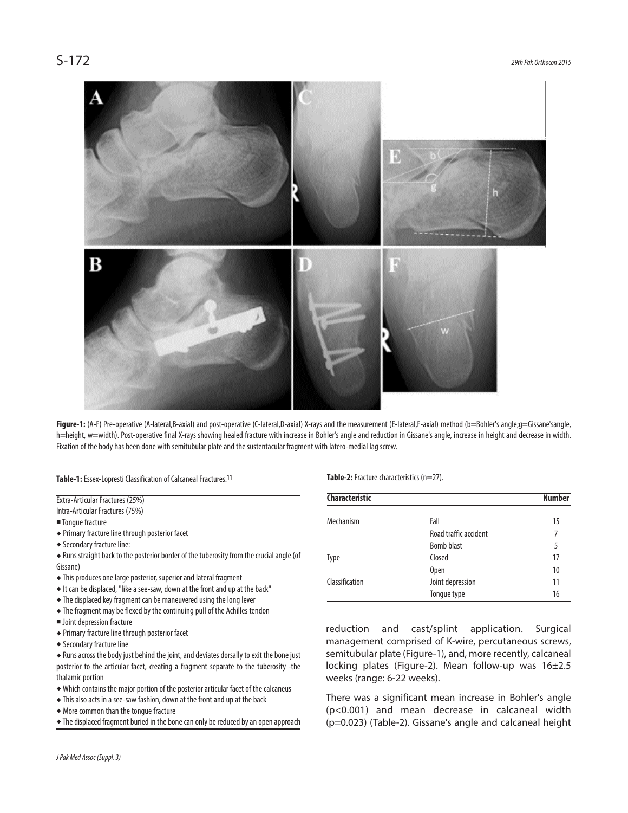

Figure-1: (A-F) Pre-operative (A-lateral,B-axial) and post-operative (C-lateral,D-axial) X-rays and the measurement (E-lateral,F-axial) method (b=Bohler's angle;g=Gissane'sangle, h=height, w=width). Post-operative final X-rays showing healed fracture with increase in Bohler's angle and reduction in Gissane's angle, increase in height and decrease in width. Fixation of the body has been done with semitubular plate and the sustentacular fragment with latero-medial lag screw.

Table-1: Essex-Lopresti Classification of Calcaneal Fractures.<sup>11</sup>

Extra-Articular Fractures (25%) Intra-Articular Fractures (75%) ■ Tonque fracture

- Primary fracture line through posterior facet
- Secondary fracture line:

• Runs straight back to the posterior border of the tuberosity from the crucial angle (of Gissane)

- $\bullet$  This produces one large posterior, superior and lateral fragment
- $\bullet$  It can be displaced, "like a see-saw, down at the front and up at the back"
- The displaced key fragment can be maneuvered using the long lever
- The fragment may be flexed by the continuing pull of the Achilles tendon
- **Joint depression fracture**
- Primary fracture line through posterior facet
- Secondary fracture line

• Runs across the body just behind the joint, and deviates dorsally to exit the bone just posterior to the articular facet, creating a fragment separate to the tuberosity -the thalamic portion

- Which contains the major portion of the posterior articular facet of the calcaneus
- $\bullet$  This also acts in a see-saw fashion, down at the front and up at the back
- More common than the tongue fracture
- The displaced fragment buried in the bone can only be reduced by an open approach

*JPak Med Assoc (Suppl.3)*

**Table-2:** Fracture characteristics (n=27).

| <b>Characteristic</b> |                       | <b>Number</b> |
|-----------------------|-----------------------|---------------|
| Mechanism             | Fall                  | 15            |
|                       | Road traffic accident | 7             |
|                       | <b>Bomb blast</b>     | 5             |
| <b>Type</b>           | Closed                | 17            |
|                       | <b>Open</b>           | 10            |
| Classification        | Joint depression      | 11            |
|                       | Tonque type           | 16            |

reduction and cast/splint application. Surgical management comprised of K-wire, percutaneous screws, semitubular plate (Figure-1), and, more recently, calcaneal locking plates (Figure-2). Mean follow-up was 16±2.5 weeks (range: 6-22 weeks).

There was a significant mean increase in Bohler's angle (p<0.001) and mean decrease in calcaneal width (p=0.023) (Table-2). Gissane's angle and calcaneal height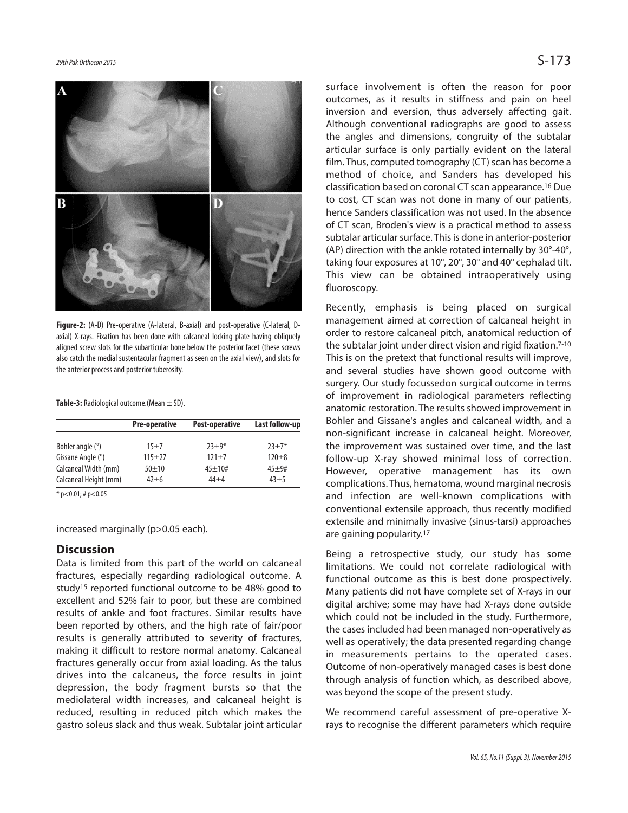

**Figure-2:** (A-D) Pre-operative (A-lateral, B-axial) and post-operative (C-lateral, Daxial) X-rays. Fixation has been done with calcaneal locking plate having obliquely aligned screw slots for the subarticular bone below the posterior facet (these screws also catch the medial sustentacular fragment as seen on the axial view), and slots for the anterior process and posterior tuberosity.

**Table-3:** Radiological outcome.(Mean  $\pm$  SD).

|                                                                                                                                                                                                                                                                                                                                              | <b>Pre-operative</b> | Post-operative | Last follow-up |
|----------------------------------------------------------------------------------------------------------------------------------------------------------------------------------------------------------------------------------------------------------------------------------------------------------------------------------------------|----------------------|----------------|----------------|
| Bohler angle (°)                                                                                                                                                                                                                                                                                                                             | $15 + 7$             | $73 + 9*$      | $73 + 7*$      |
| Gissane Angle (°)                                                                                                                                                                                                                                                                                                                            | $115+27$             | $121 + 7$      | $120 + 8$      |
| Calcaneal Width (mm)                                                                                                                                                                                                                                                                                                                         | $50 + 10$            | $45+10#$       | $45 + 9#$      |
| Calcaneal Height (mm)                                                                                                                                                                                                                                                                                                                        | $42 + 6$             | $44 + 4$       | $43 + 5$       |
| $\mathcal{L}$ $\wedge$ $\wedge$ $\wedge$ $\wedge$ $\wedge$ $\wedge$ $\wedge$ $\wedge$ $\wedge$ $\wedge$ $\wedge$ $\wedge$ $\wedge$ $\wedge$ $\wedge$ $\wedge$ $\wedge$ $\wedge$ $\wedge$ $\wedge$ $\wedge$ $\wedge$ $\wedge$ $\wedge$ $\wedge$ $\wedge$ $\wedge$ $\wedge$ $\wedge$ $\wedge$ $\wedge$ $\wedge$ $\wedge$ $\wedge$ $\wedge$ $\$ |                      |                |                |

 $p < 0.01$ ; # $p < 0.05$ 

increased marginally (p>0.05 each).

#### **Discussion**

Data is limited from this part of the world on calcaneal fractures, especially regarding radiological outcome. A study15 reported functional outcome to be 48% good to excellent and 52% fair to poor, but these are combined results of ankle and foot fractures. Similar results have been reported by others, and the high rate of fair/poor results is generally attributed to severity of fractures, making it difficult to restore normal anatomy. Calcaneal fractures generally occur from axial loading. As the talus drives into the calcaneus, the force results in joint depression, the body fragment bursts so that the mediolateral width increases, and calcaneal height is reduced, resulting in reduced pitch which makes the gastro soleus slack and thus weak. Subtalar joint articular surface involvement is often the reason for poor outcomes, as it results in stiffness and pain on heel inversion and eversion, thus adversely affecting gait. Although conventional radiographs are good to assess the angles and dimensions, congruity of the subtalar articular surface is only partially evident on the lateral film. Thus, computed tomography (CT) scan has become a method of choice, and Sanders has developed his classification based on coronal CT scan appearance. 16 Due to cost, CT scan was not done in many of our patients, hence Sanders classification was not used. In the absence of CT scan, Broden's view is a practical method to assess subtalar articular surface. This is done in anterior-posterior (AP) direction with the ankle rotated internally by 30°-40°, taking four exposures at 10°, 20°, 30° and 40° cephalad tilt. This view can be obtained intraoperatively using fluoroscopy.

Recently, emphasis is being placed on surgical management aimed at correction of calcaneal height in order to restore calcaneal pitch, anatomical reduction of the subtalar joint under direct vision and rigid fixation. 7-10 This is on the pretext that functional results will improve, and several studies have shown good outcome with surgery. Our study focussedon surgical outcome in terms of improvement in radiological parameters reflecting anatomic restoration. The results showed improvement in Bohler and Gissane's angles and calcaneal width, and a non-significant increase in calcaneal height. Moreover, the improvement was sustained over time, and the last follow-up X-ray showed minimal loss of correction. However, operative management has its own complications. Thus, hematoma, wound marginal necrosis and infection are well-known complications with conventional extensile approach, thus recently modified extensile and minimally invasive (sinus-tarsi) approaches are gaining popularity. 17

Being a retrospective study, our study has some limitations. We could not correlate radiological with functional outcome as this is best done prospectively. Many patients did not have complete set of X-rays in our digital archive; some may have had X-rays done outside which could not be included in the study. Furthermore, the cases included had been managed non-operatively as well as operatively; the data presented regarding change in measurements pertains to the operated cases. Outcome of non-operatively managed cases is best done through analysis of function which, as described above, was beyond the scope of the present study.

We recommend careful assessment of pre-operative Xrays to recognise the different parameters which require